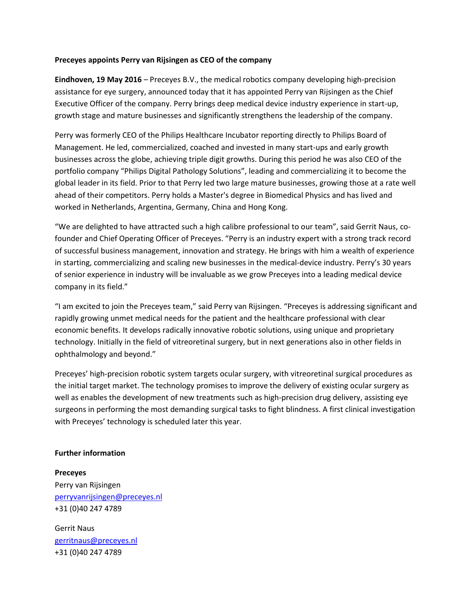## **Preceyes appoints Perry van Rijsingen as CEO of the company**

**Eindhoven, 19 May 2016** – Preceyes B.V., the medical robotics company developing high-precision assistance for eye surgery, announced today that it has appointed Perry van Rijsingen as the Chief Executive Officer of the company. Perry brings deep medical device industry experience in start-up, growth stage and mature businesses and significantly strengthens the leadership of the company.

Perry was formerly CEO of the Philips Healthcare Incubator reporting directly to Philips Board of Management. He led, commercialized, coached and invested in many start-ups and early growth businesses across the globe, achieving triple digit growths. During this period he was also CEO of the portfolio company "Philips Digital Pathology Solutions", leading and commercializing it to become the global leader in its field. Prior to that Perry led two large mature businesses, growing those at a rate well ahead of their competitors. Perry holds a Master's degree in Biomedical Physics and has lived and worked in Netherlands, Argentina, Germany, China and Hong Kong.

"We are delighted to have attracted such a high calibre professional to our team", said Gerrit Naus, cofounder and Chief Operating Officer of Preceyes. "Perry is an industry expert with a strong track record of successful business management, innovation and strategy. He brings with him a wealth of experience in starting, commercializing and scaling new businesses in the medical-device industry. Perry's 30 years of senior experience in industry will be invaluable as we grow Preceyes into a leading medical device company in its field."

"I am excited to join the Preceyes team," said Perry van Rijsingen. "Preceyes is addressing significant and rapidly growing unmet medical needs for the patient and the healthcare professional with clear economic benefits. It develops radically innovative robotic solutions, using unique and proprietary technology. Initially in the field of vitreoretinal surgery, but in next generations also in other fields in ophthalmology and beyond."

Preceyes' high-precision robotic system targets ocular surgery, with vitreoretinal surgical procedures as the initial target market. The technology promises to improve the delivery of existing ocular surgery as well as enables the development of new treatments such as high-precision drug delivery, assisting eye surgeons in performing the most demanding surgical tasks to fight blindness. A first clinical investigation with Preceyes' technology is scheduled later this year.

## **Further information**

**Preceyes** Perry van Rijsingen [perryvanrijsingen@preceyes.nl](mailto:perryvanrijsingen@preceyes.nl) +31 (0)40 247 4789

Gerrit Naus [gerritnaus@preceyes.nl](mailto:gerritnaus@preceyes.nl) +31 (0)40 247 4789